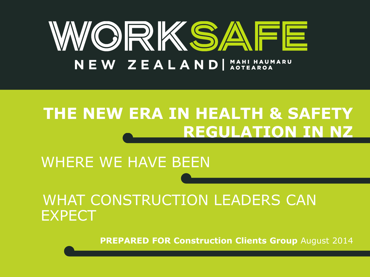

## **THE NEW ERA IN HEALTH & SAFETY REGULATION IN NZ**

### WHERE WE HAVE BEEN

### WHAT CONSTRUCTION LEADERS CAN EXPECT

**PREPARED FOR Construction Clients Group** August 2014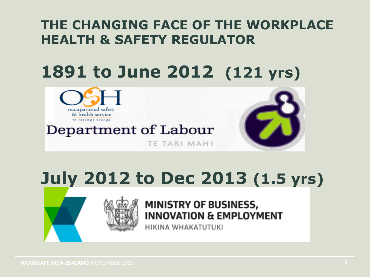### **THE CHANGING FACE OF THE WORKPLACE HEALTH & SAFETY REGULATOR**

# **1891 to June 2012 (121 yrs)**



# **July 2012 to Dec 2013 (1.5 yrs)**



### **MINISTRY OF BUSINESS, INNOVATION & EMPLOYMENT**

HIKINA WHAKATUTUKI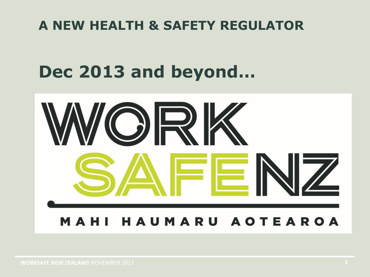### **A NEW HEALTH & SAFETY REGULATOR**

# **Dec 2013 and beyond…**

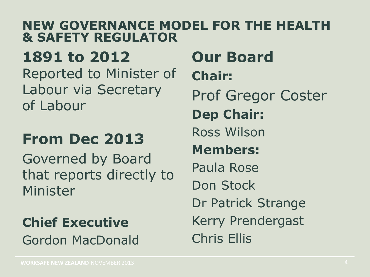#### **NEW GOVERNANCE MODEL FOR THE HEALTH & SAFETY REGULATOR**

**1891 to 2012** 

Reported to Minister of Labour via Secretary of Labour

## **From Dec 2013**

Governed by Board that reports directly to Minister

### **Chief Executive** Gordon MacDonald

**Our Board Chair:**  Prof Gregor Coster **Dep Chair:**  Ross Wilson **Members:**  Paula Rose Don Stock Dr Patrick Strange Kerry Prendergast Chris Ellis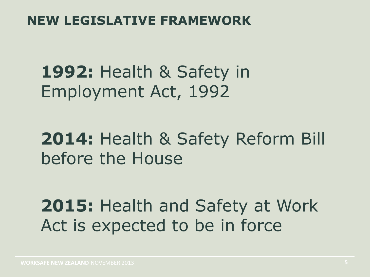### **NEW LEGISLATIVE FRAMEWORK**

**1992:** Health & Safety in Employment Act, 1992

**2014:** Health & Safety Reform Bill before the House

**2015:** Health and Safety at Work Act is expected to be in force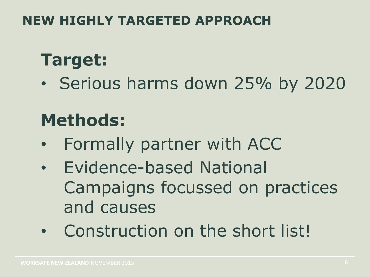### **NEW HIGHLY TARGETED APPROACH**

## **Target:**

• Serious harms down 25% by 2020

## **Methods:**

- Formally partner with ACC
- Evidence-based National Campaigns focussed on practices and causes
- Construction on the short list!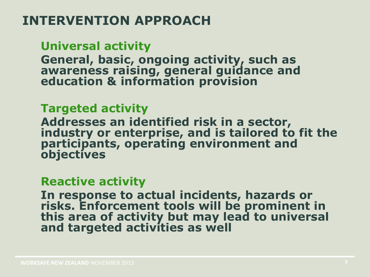### **INTERVENTION APPROACH**

**Universal activity**

**General, basic, ongoing activity, such as awareness raising, general guidance and education & information provision**

#### **Targeted activity**

**Addresses an identified risk in a sector, industry or enterprise, and is tailored to fit the participants, operating environment and objectives**

#### **Reactive activity**

**In response to actual incidents, hazards or risks. Enforcement tools will be prominent in this area of activity but may lead to universal and targeted activities as well**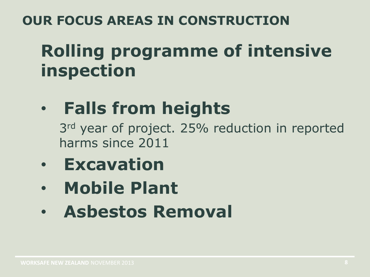### **OUR FOCUS AREAS IN CONSTRUCTION**

# **Rolling programme of intensive inspection**

# • **Falls from heights**

3<sup>rd</sup> year of project. 25% reduction in reported harms since 2011

- **Excavation**
- **Mobile Plant**
- **Asbestos Removal**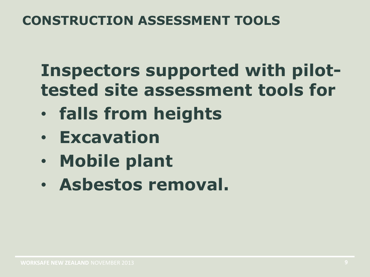### **CONSTRUCTION ASSESSMENT TOOLS**

## **Inspectors supported with pilottested site assessment tools for**

- **falls from heights**
- **Excavation**
- **Mobile plant**
- **Asbestos removal.**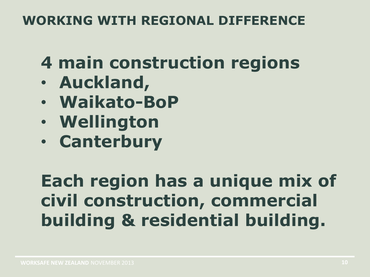### **WORKING WITH REGIONAL DIFFERENCE**

# **4 main construction regions**

- **Auckland,**
- **Waikato-BoP**
- **Wellington**
- **Canterbury**

# **Each region has a unique mix of civil construction, commercial building & residential building.**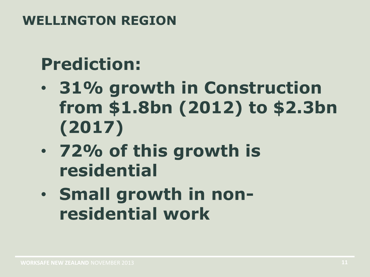### **WELLINGTON REGION**

# **Prediction:**

- **31% growth in Construction from \$1.8bn (2012) to \$2.3bn (2017)**
- **72% of this growth is residential**
- **Small growth in nonresidential work**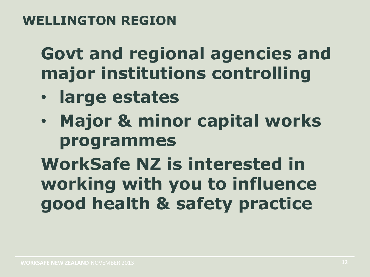### **WELLINGTON REGION**

## **Govt and regional agencies and major institutions controlling**

- **large estates**
- **Major & minor capital works programmes**

# **WorkSafe NZ is interested in working with you to influence good health & safety practice**